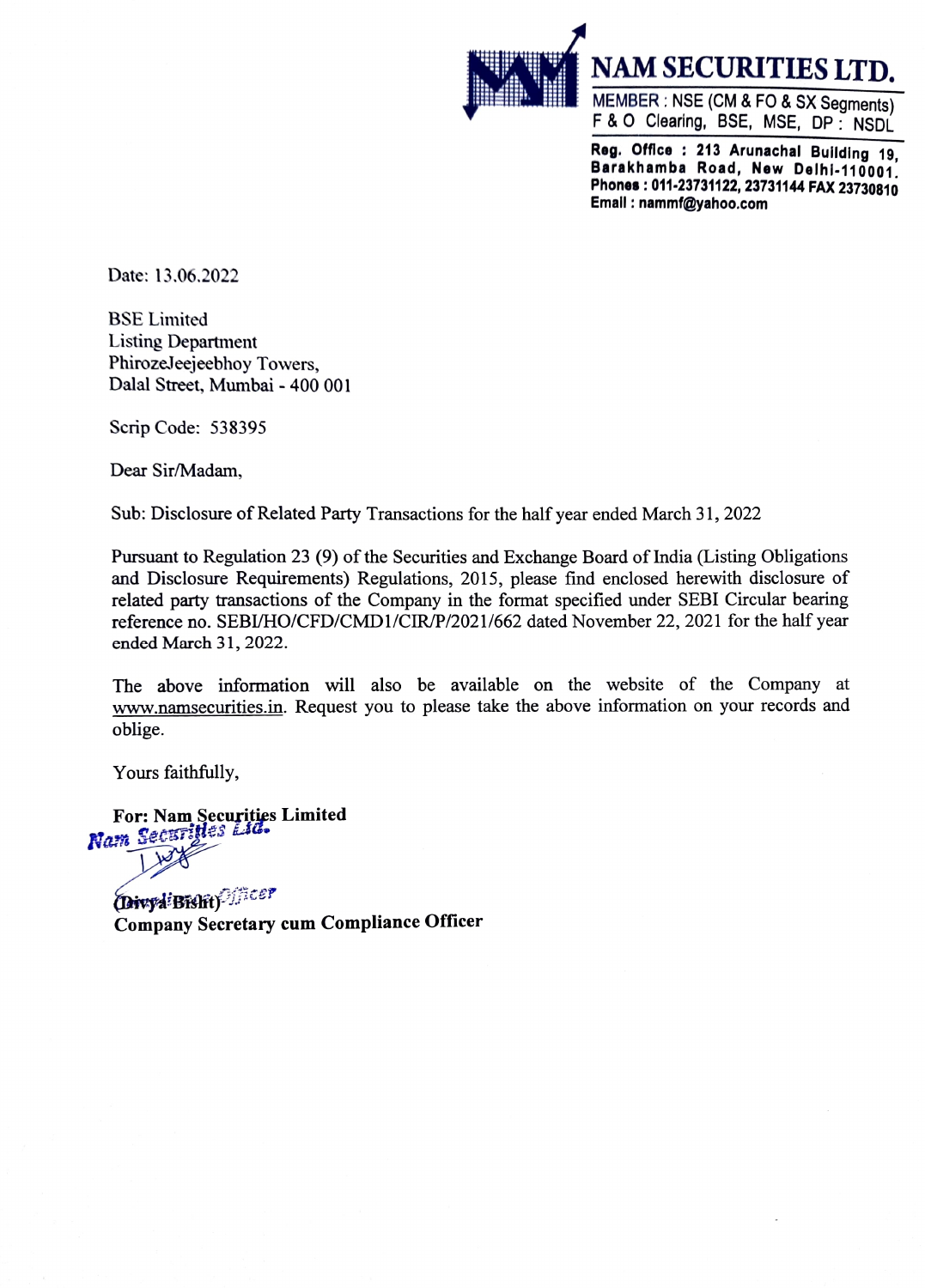

Reg. Offlce: 213 Arunachal Building 19, Barakhamba Road, New Delhi-110001. Phones:011-23731122, 23731144 FAX 23730810 Emall: nammf@yahoo.com

Date: 13.06.2022

BSE Limited Listing Department PhirozeJeejeebhoy Towers, Dalal Street, Mumbai - 400 001

Scrip Code: 538395

Dear Sir/Madam,

Sub: Disclosure of Related Party Transactions for the half year ended March 31, 2022

Pursuant to Regulation 23 (9) of the Securities and Exchange Board of India (Listing Obligations and Disclosure Requirements) Regulations, 2015, please find enclosed herewith disclosure of related party transactions of the Company in the format specified under SEBI Circular bearing reference no. SEBI/HO/CFD/CMD1/CIR/P/2021/662 dated November 22, 2021 for the half year ended March 31, 2022.

The above information will also be available on the website of the Company at www.namsecurities.in. Request you to please take the above information on your records and oblige.

Yours faithfully,

For: Nam Securities Limited<br>Nam Securities Lid.

(Divyd Bislit)<sup>Officer</sup> Company Secretary cum Compliance Officer